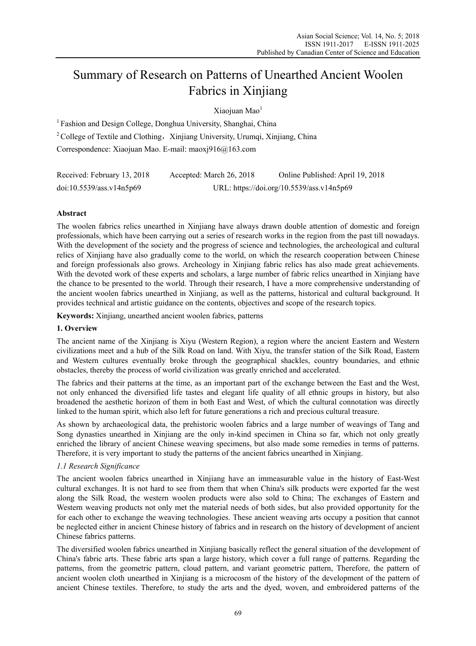# Summary of Research on Patterns of Unearthed Ancient Woolen Fabrics in Xinjiang

Xiaojuan Mao<sup>1</sup>

<sup>1</sup> Fashion and Design College, Donghua University, Shanghai, China

<sup>2</sup> College of Textile and Clothing, Xinjiang University, Urumqi, Xinjiang, China

Correspondence: Xiaojuan Mao. E-mail: maoxj916@163.com

| Received: February 13, 2018 | Accepted: March 26, 2018                  | Online Published: April 19, 2018 |
|-----------------------------|-------------------------------------------|----------------------------------|
| doi:10.5539/ass.v14n5p69    | URL: https://doi.org/10.5539/ass.v14n5p69 |                                  |

# **Abstract**

The woolen fabrics relics unearthed in Xinjiang have always drawn double attention of domestic and foreign professionals, which have been carrying out a series of research works in the region from the past till nowadays. With the development of the society and the progress of science and technologies, the archeological and cultural relics of Xinjiang have also gradually come to the world, on which the research cooperation between Chinese and foreign professionals also grows. Archeology in Xinjiang fabric relics has also made great achievements. With the devoted work of these experts and scholars, a large number of fabric relics unearthed in Xinjiang have the chance to be presented to the world. Through their research, I have a more comprehensive understanding of the ancient woolen fabrics unearthed in Xinjiang, as well as the patterns, historical and cultural background. It provides technical and artistic guidance on the contents, objectives and scope of the research topics.

**Keywords:** Xinjiang, unearthed ancient woolen fabrics, patterns

# **1. Overview**

The ancient name of the Xinjiang is Xiyu (Western Region), a region where the ancient Eastern and Western civilizations meet and a hub of the Silk Road on land. With Xiyu, the transfer station of the Silk Road, Eastern and Western cultures eventually broke through the geographical shackles, country boundaries, and ethnic obstacles, thereby the process of world civilization was greatly enriched and accelerated.

The fabrics and their patterns at the time, as an important part of the exchange between the East and the West, not only enhanced the diversified life tastes and elegant life quality of all ethnic groups in history, but also broadened the aesthetic horizon of them in both East and West, of which the cultural connotation was directly linked to the human spirit, which also left for future generations a rich and precious cultural treasure.

As shown by archaeological data, the prehistoric woolen fabrics and a large number of weavings of Tang and Song dynasties unearthed in Xinjiang are the only in-kind specimen in China so far, which not only greatly enriched the library of ancient Chinese weaving specimens, but also made some remedies in terms of patterns. Therefore, it is very important to study the patterns of the ancient fabrics unearthed in Xinjiang.

# *1.1 Research Significance*

The ancient woolen fabrics unearthed in Xinjiang have an immeasurable value in the history of East-West cultural exchanges. It is not hard to see from them that when China's silk products were exported far the west along the Silk Road, the western woolen products were also sold to China; The exchanges of Eastern and Western weaving products not only met the material needs of both sides, but also provided opportunity for the for each other to exchange the weaving technologies. These ancient weaving arts occupy a position that cannot be neglected either in ancient Chinese history of fabrics and in research on the history of development of ancient Chinese fabrics patterns.

The diversified woolen fabrics unearthed in Xinjiang basically reflect the general situation of the development of China's fabric arts. These fabric arts span a large history, which cover a full range of patterns. Regarding the patterns, from the geometric pattern, cloud pattern, and variant geometric pattern, Therefore, the pattern of ancient woolen cloth unearthed in Xinjiang is a microcosm of the history of the development of the pattern of ancient Chinese textiles. Therefore, to study the arts and the dyed, woven, and embroidered patterns of the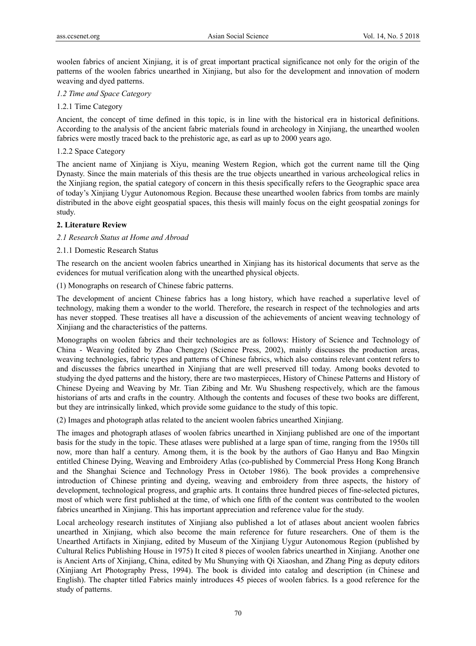woolen fabrics of ancient Xinjiang, it is of great important practical significance not only for the origin of the patterns of the woolen fabrics unearthed in Xinjiang, but also for the development and innovation of modern weaving and dyed patterns.

#### *1.2 Time and Space Category*

#### 1.2.1 Time Category

Ancient, the concept of time defined in this topic, is in line with the historical era in historical definitions. According to the analysis of the ancient fabric materials found in archeology in Xinjiang, the unearthed woolen fabrics were mostly traced back to the prehistoric age, as earl as up to 2000 years ago.

#### 1.2.2 Space Category

The ancient name of Xinjiang is Xiyu, meaning Western Region, which got the current name till the Qing Dynasty. Since the main materials of this thesis are the true objects unearthed in various archeological relics in the Xinjiang region, the spatial category of concern in this thesis specifically refers to the Geographic space area of today's Xinjiang Uygur Autonomous Region. Because these unearthed woolen fabrics from tombs are mainly distributed in the above eight geospatial spaces, this thesis will mainly focus on the eight geospatial zonings for study.

#### **2. Literature Review**

#### *2.1 Research Status at Home and Abroad*

#### 2.1.1 Domestic Research Status

The research on the ancient woolen fabrics unearthed in Xinjiang has its historical documents that serve as the evidences for mutual verification along with the unearthed physical objects.

(1) Monographs on research of Chinese fabric patterns.

The development of ancient Chinese fabrics has a long history, which have reached a superlative level of technology, making them a wonder to the world. Therefore, the research in respect of the technologies and arts has never stopped. These treatises all have a discussion of the achievements of ancient weaving technology of Xinjiang and the characteristics of the patterns.

Monographs on woolen fabrics and their technologies are as follows: History of Science and Technology of China - Weaving (edited by Zhao Chengze) (Science Press, 2002), mainly discusses the production areas, weaving technologies, fabric types and patterns of Chinese fabrics, which also contains relevant content refers to and discusses the fabrics unearthed in Xinjiang that are well preserved till today. Among books devoted to studying the dyed patterns and the history, there are two masterpieces, History of Chinese Patterns and History of Chinese Dyeing and Weaving by Mr. Tian Zibing and Mr. Wu Shusheng respectively, which are the famous historians of arts and crafts in the country. Although the contents and focuses of these two books are different, but they are intrinsically linked, which provide some guidance to the study of this topic.

(2) Images and photograph atlas related to the ancient woolen fabrics unearthed Xinjiang.

The images and photograph atlases of woolen fabrics unearthed in Xinjiang published are one of the important basis for the study in the topic. These atlases were published at a large span of time, ranging from the 1950s till now, more than half a century. Among them, it is the book by the authors of Gao Hanyu and Bao Mingxin entitled Chinese Dying, Weaving and Embroidery Atlas (co-published by Commercial Press Hong Kong Branch and the Shanghai Science and Technology Press in October 1986). The book provides a comprehensive introduction of Chinese printing and dyeing, weaving and embroidery from three aspects, the history of development, technological progress, and graphic arts. It contains three hundred pieces of fine-selected pictures, most of which were first published at the time, of which one fifth of the content was contributed to the woolen fabrics unearthed in Xinjiang. This has important appreciation and reference value for the study.

Local archeology research institutes of Xinjiang also published a lot of atlases about ancient woolen fabrics unearthed in Xinjiang, which also become the main reference for future researchers. One of them is the Unearthed Artifacts in Xinjiang, edited by Museum of the Xinjiang Uygur Autonomous Region (published by Cultural Relics Publishing House in 1975) It cited 8 pieces of woolen fabrics unearthed in Xinjiang. Another one is Ancient Arts of Xinjiang, China, edited by Mu Shunying with Qi Xiaoshan, and Zhang Ping as deputy editors (Xinjiang Art Photography Press, 1994). The book is divided into catalog and description (in Chinese and English). The chapter titled Fabrics mainly introduces 45 pieces of woolen fabrics. Is a good reference for the study of patterns.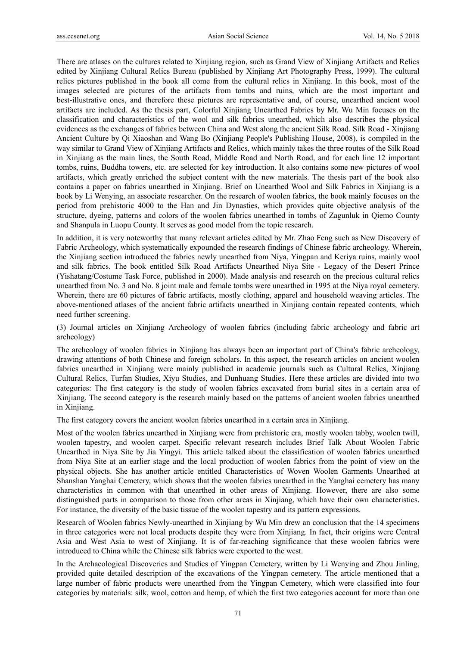There are atlases on the cultures related to Xinjiang region, such as Grand View of Xinjiang Artifacts and Relics edited by Xinjiang Cultural Relics Bureau (published by Xinjiang Art Photography Press, 1999). The cultural relics pictures published in the book all come from the cultural relics in Xinjiang. In this book, most of the images selected are pictures of the artifacts from tombs and ruins, which are the most important and best-illustrative ones, and therefore these pictures are representative and, of course, unearthed ancient wool artifacts are included. As the thesis part, Colorful Xinjiang Unearthed Fabrics by Mr. Wu Min focuses on the classification and characteristics of the wool and silk fabrics unearthed, which also describes the physical evidences as the exchanges of fabrics between China and West along the ancient Silk Road. Silk Road - Xinjiang Ancient Culture by Qi Xiaoshan and Wang Bo (Xinjiang People's Publishing House, 2008), is compiled in the way similar to Grand View of Xinjiang Artifacts and Relics, which mainly takes the three routes of the Silk Road in Xinjiang as the main lines, the South Road, Middle Road and North Road, and for each line 12 important tombs, ruins, Buddha towers, etc. are selected for key introduction. It also contains some new pictures of wool artifacts, which greatly enriched the subject content with the new materials. The thesis part of the book also contains a paper on fabrics unearthed in Xinjiang. Brief on Unearthed Wool and Silk Fabrics in Xinjiang is a book by Li Wenying, an associate researcher. On the research of woolen fabrics, the book mainly focuses on the period from prehistoric 4000 to the Han and Jin Dynasties, which provides quite objective analysis of the structure, dyeing, patterns and colors of the woolen fabrics unearthed in tombs of Zagunluk in Qiemo County and Shanpula in Luopu County. It serves as good model from the topic research.

In addition, it is very noteworthy that many relevant articles edited by Mr. Zhao Feng such as New Discovery of Fabric Archeology, which systematically expounded the research findings of Chinese fabric archeology. Wherein, the Xinjiang section introduced the fabrics newly unearthed from Niya, Yingpan and Keriya ruins, mainly wool and silk fabrics. The book entitled Silk Road Artifacts Unearthed Niya Site - Legacy of the Desert Prince (Yishatang/Costume Task Force, published in 2000). Made analysis and research on the precious cultural relics unearthed from No. 3 and No. 8 joint male and female tombs were unearthed in 1995 at the Niya royal cemetery. Wherein, there are 60 pictures of fabric artifacts, mostly clothing, apparel and household weaving articles. The above-mentioned atlases of the ancient fabric artifacts unearthed in Xinjiang contain repeated contents, which need further screening.

(3) Journal articles on Xinjiang Archeology of woolen fabrics (including fabric archeology and fabric art archeology)

The archeology of woolen fabrics in Xinjiang has always been an important part of China's fabric archeology, drawing attentions of both Chinese and foreign scholars. In this aspect, the research articles on ancient woolen fabrics unearthed in Xinjiang were mainly published in academic journals such as Cultural Relics, Xinjiang Cultural Relics, Turfan Studies, Xiyu Studies, and Dunhuang Studies. Here these articles are divided into two categories: The first category is the study of woolen fabrics excavated from burial sites in a certain area of Xinjiang. The second category is the research mainly based on the patterns of ancient woolen fabrics unearthed in Xinjiang.

The first category covers the ancient woolen fabrics unearthed in a certain area in Xinjiang.

Most of the woolen fabrics unearthed in Xinjiang were from prehistoric era, mostly woolen tabby, woolen twill, woolen tapestry, and woolen carpet. Specific relevant research includes Brief Talk About Woolen Fabric Unearthed in Niya Site by Jia Yingyi. This article talked about the classification of woolen fabrics unearthed from Niya Site at an earlier stage and the local production of woolen fabrics from the point of view on the physical objects. She has another article entitled Characteristics of Woven Woolen Garments Unearthed at Shanshan Yanghai Cemetery, which shows that the woolen fabrics unearthed in the Yanghai cemetery has many characteristics in common with that unearthed in other areas of Xinjiang. However, there are also some distinguished parts in comparison to those from other areas in Xinjiang, which have their own characteristics. For instance, the diversity of the basic tissue of the woolen tapestry and its pattern expressions.

Research of Woolen fabrics Newly-unearthed in Xinjiang by Wu Min drew an conclusion that the 14 specimens in three categories were not local products despite they were from Xinjiang. In fact, their origins were Central Asia and West Asia to west of Xinjiang. It is of far-reaching significance that these woolen fabrics were introduced to China while the Chinese silk fabrics were exported to the west.

In the Archaeological Discoveries and Studies of Yingpan Cemetery, written by Li Wenying and Zhou Jinling, provided quite detailed description of the excavations of the Yingpan cemetery. The article mentioned that a large number of fabric products were unearthed from the Yingpan Cemetery, which were classified into four categories by materials: silk, wool, cotton and hemp, of which the first two categories account for more than one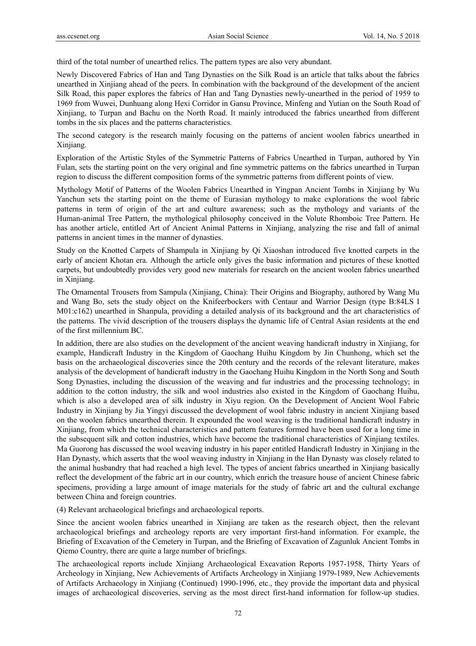third of the total number of unearthed relics. The pattern types are also very abundant.

Newly Discovered Fabrics of Han and Tang Dynasties on the Silk Road is an article that talks about the fabrics unearthed in Xinjiang ahead of the peers. In combination with the background of the development of the ancient Silk Road, this paper explores the fabrics of Han and Tang Dynasties newly-unearthed in the period of 1959 to 1969 from Wuwei, Dunhuang along Hexi Corridor in Gansu Province, Minfeng and Yutian on the South Road of Xinjiang, to Turpan and Bachu on the North Road. It mainly introduced the fabrics unearthed from different tombs in the six places and the patterns characteristics.

The second category is the research mainly focusing on the patterns of ancient woolen fabrics unearthed in Xinjiang.

Exploration of the Artistic Styles of the Symmetric Patterns of Fabrics Unearthed in Turpan, authored by Yin Fulan, sets the starting point on the very original and fine symmetric patterns on the fabrics unearthed in Turpan region to discuss the different composition forms of the symmetric patterns from different points of view.

Mythology Motif of Patterns of the Woolen Fabrics Unearthed in Yingpan Ancient Tombs in Xinjiang by Wu Yanchun sets the starting point on the theme of Eurasian mythology to make explorations the wool fabric patterns in term of origin of the art and culture awareness; such as the mythology and variants of the Human-animal Tree Pattern, the mythological philosophy conceived in the Volute Rhomboic Tree Pattern. He has another article, entitled Art of Ancient Animal Patterns in Xinjiang, analyzing the rise and fall of animal patterns in ancient times in the manner of dynasties.

Study on the Knotted Carpets of Shampula in Xinjiang by Qi Xiaoshan introduced five knotted carpets in the early of ancient Khotan era. Although the article only gives the basic information and pictures of these knotted carpets, but undoubtedly provides very good new materials for research on the ancient woolen fabrics unearthed in Xinjiang.

The Ornamental Trousers from Sampula (Xinjiang, China): Their Origins and Biography, authored by Wang Mu and Wang Bo, sets the study object on the Knifeerbockers with Centaur and Warrior Design (type B:84LS I M01:c162) unearthed in Shanpula, providing a detailed analysis of its background and the art characteristics of the patterns. The vivid description of the trousers displays the dynamic life of Central Asian residents at the end of the first millennium BC.

In addition, there are also studies on the development of the ancient weaving handicraft industry in Xinjiang, for example, Handicraft Industry in the Kingdom of Gaochang Huihu Kingdom by Jin Chunhong, which set the basis on the archaeological discoveries since the 20th century and the records of the relevant literature, makes analysis of the development of handicraft industry in the Gaochang Huihu Kingdom in the North Song and South Song Dynasties, including the discussion of the weaving and fur industries and the processing technology; in addition to the cotton industry, the silk and wool industries also existed in the Kingdom of Gaochang Huihu, which is also a developed area of silk industry in Xiyu region. On the Development of Ancient Wool Fabric Industry in Xinjiang by Jia Yingyi discussed the development of wool fabric industry in ancient Xinjiang based on the woolen fabrics unearthed therein. It expounded the wool weaving is the traditional handicraft industry in Xinjiang, from which the technical characteristics and pattern features formed have been used for a long time in the subsequent silk and cotton industries, which have become the traditional characteristics of Xinjiang textiles. Ma Guorong has discussed the wool weaving industry in his paper entitled Handicraft Industry in Xinjiang in the Han Dynasty, which asserts that the wool weaving industry in Xinjiang in the Han Dynasty was closely related to the animal husbandry that had reached a high level. The types of ancient fabrics unearthed in Xinjiang basically reflect the development of the fabric art in our country, which enrich the treasure house of ancient Chinese fabric specimens, providing a large amount of image materials for the study of fabric art and the cultural exchange between China and foreign countries.

(4) Relevant archaeological briefings and archaeological reports.

Since the ancient woolen fabrics unearthed in Xinjiang are taken as the research object, then the relevant archaeological briefings and archeology reports are very important first-hand information. For example, the Briefing of Excavation of the Cemetery in Turpan, and the Briefing of Excavation of Zagunluk Ancient Tombs in Qiemo Country, there are quite a large number of briefings.

The archaeological reports include Xinjiang Archaeological Excavation Reports 1957-1958, Thirty Years of Archeology in Xinjiang, New Achievements of Artifacts Archeology in Xinjiang 1979-1989, New Achievements of Artifacts Archaeology in Xinjiang (Continued) 1990-1996, etc., they provide the important data and physical images of archaeological discoveries, serving as the most direct first-hand information for follow-up studies.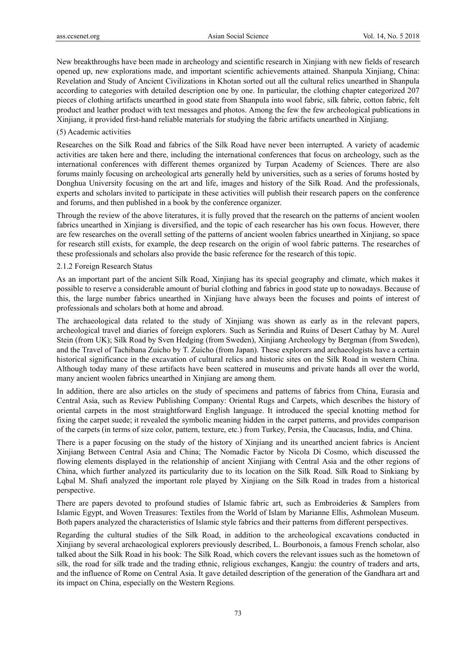New breakthroughs have been made in archeology and scientific research in Xinjiang with new fields of research opened up, new explorations made, and important scientific achievements attained. Shanpula Xinjiang, China: Revelation and Study of Ancient Civilizations in Khotan sorted out all the cultural relics unearthed in Shanpula according to categories with detailed description one by one. In particular, the clothing chapter categorized 207 pieces of clothing artifacts unearthed in good state from Shanpula into wool fabric, silk fabric, cotton fabric, felt product and leather product with text messages and photos. Among the few the few archeological publications in Xinjiang, it provided first-hand reliable materials for studying the fabric artifacts unearthed in Xinjiang.

# (5) Academic activities

Researches on the Silk Road and fabrics of the Silk Road have never been interrupted. A variety of academic activities are taken here and there, including the international conferences that focus on archeology, such as the international conferences with different themes organized by Turpan Academy of Sciences. There are also forums mainly focusing on archeological arts generally held by universities, such as a series of forums hosted by Donghua University focusing on the art and life, images and history of the Silk Road. And the professionals, experts and scholars invited to participate in these activities will publish their research papers on the conference and forums, and then published in a book by the conference organizer.

Through the review of the above literatures, it is fully proved that the research on the patterns of ancient woolen fabrics unearthed in Xinjiang is diversified, and the topic of each researcher has his own focus. However, there are few researches on the overall setting of the patterns of ancient woolen fabrics unearthed in Xinjiang, so space for research still exists, for example, the deep research on the origin of wool fabric patterns. The researches of these professionals and scholars also provide the basic reference for the research of this topic.

#### 2.1.2 Foreign Research Status

As an important part of the ancient Silk Road, Xinjiang has its special geography and climate, which makes it possible to reserve a considerable amount of burial clothing and fabrics in good state up to nowadays. Because of this, the large number fabrics unearthed in Xinjiang have always been the focuses and points of interest of professionals and scholars both at home and abroad.

The archaeological data related to the study of Xinjiang was shown as early as in the relevant papers, archeological travel and diaries of foreign explorers. Such as Serindia and Ruins of Desert Cathay by M. Aurel Stein (from UK); Silk Road by Sven Hedging (from Sweden), Xinjiang Archeology by Bergman (from Sweden), and the Travel of Tachibana Zuicho by T. Zuicho (from Japan). These explorers and archaeologists have a certain historical significance in the excavation of cultural relics and historic sites on the Silk Road in western China. Although today many of these artifacts have been scattered in museums and private hands all over the world, many ancient woolen fabrics unearthed in Xinjiang are among them.

In addition, there are also articles on the study of specimens and patterns of fabrics from China, Eurasia and Central Asia, such as Review Publishing Company: Oriental Rugs and Carpets, which describes the history of oriental carpets in the most straightforward English language. It introduced the special knotting method for fixing the carpet suede; it revealed the symbolic meaning hidden in the carpet patterns, and provides comparison of the carpets (in terms of size color, pattern, texture, etc.) from Turkey, Persia, the Caucasus, India, and China.

There is a paper focusing on the study of the history of Xinjiang and its unearthed ancient fabrics is Ancient Xinjiang Between Central Asia and China; The Nomadic Factor by Nicola Di Cosmo, which discussed the flowing elements displayed in the relationship of ancient Xinjiang with Central Asia and the other regions of China, which further analyzed its particularity due to its location on the Silk Road. Silk Road to Sinkiang by Lqbal M. Shafi analyzed the important role played by Xinjiang on the Silk Road in trades from a historical perspective.

There are papers devoted to profound studies of Islamic fabric art, such as Embroideries & Samplers from Islamic Egypt, and Woven Treasures: Textiles from the World of Islam by Marianne Ellis, Ashmolean Museum. Both papers analyzed the characteristics of Islamic style fabrics and their patterns from different perspectives.

Regarding the cultural studies of the Silk Road, in addition to the archeological excavations conducted in Xinjiang by several archaeological explorers previously described, L. Bourbonois, a famous French scholar, also talked about the Silk Road in his book: The Silk Road, which covers the relevant issues such as the hometown of silk, the road for silk trade and the trading ethnic, religious exchanges, Kangju: the country of traders and arts, and the influence of Rome on Central Asia. It gave detailed description of the generation of the Gandhara art and its impact on China, especially on the Western Regions.